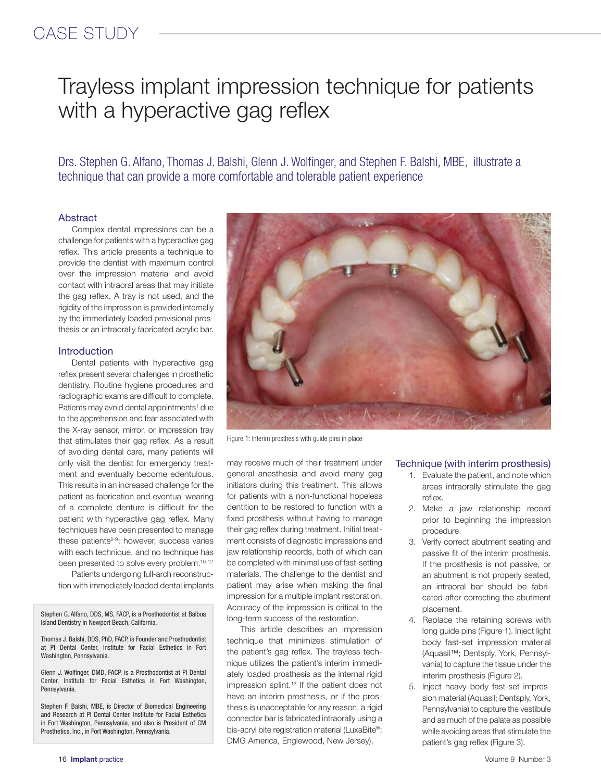# Trayless implant impression technique for patients with a hyperactive gag reflex

Drs. Stephen G. Alfano, Thomas J. Balshi, Glenn J. Wolfinger, and Stephen F. Balshi, MBE, illustrate a technique that can provide a more comfortable and tolerable patient experience

### Abstract

Complex dental impressions can be a challenge for patients with a hyperactive gag reflex. This article presents a technique to provide the dentist with maximum control over the impression material and avoid contact with intraoral areas that may initiate the gag reflex. A tray is not used, and the rigidity of the impression is provided internally by the immediately loaded provisional prosthesis or an intraorally fabricated acrylic bar.

### **Introduction**

Dental patients with hyperactive gag reflex present several challenges in prosthetic dentistry. Routine hygiene procedures and radiographic exams are difficult to complete. Patients may avoid dental appointments<sup>1</sup> due to the apprehension and fear associated with the X-ray sensor, mirror, or impression tray that stimulates their gag reflex. As a result of avoiding dental care, many patients will only visit the dentist for emergency treatment and eventually become edentulous. This results in an increased challenge for the patient as fabrication and eventual wearing of a complete denture is difficult for the patient with hyperactive gag reflex. Many techniques have been presented to manage these patients<sup>2-9</sup>; however, success varies with each technique, and no technique has been presented to solve every problem.<sup>10-12</sup>

Patients undergoing full-arch reconstruction with immediately loaded dental implants

Stephen G. Alfano, DDS, MS, FACP, is a Prosthodontist at Balboa Island Dentistry in Newport Beach, California.

Thomas J. Balshi, DDS, PhD, FACP, is Founder and Prosthodontist at PI Dental Center, Institute for Facial Esthetics in Fort Washington, Pennsylvania.

Glenn J. Wolfinger, DMD, FACP, is a Prosthodontist at PI Dental Center, Institute for Facial Esthetics in Fort Washington, Pennsylvania.

Stephen F. Balshi, MBE, is Director of Biomedical Engineering and Research at PI Dental Center, Institute for Facial Esthetics in Fort Washington, Pennsylvania, and also is President of CM Prosthetics, Inc., in Fort Washington, Pennsylvania.



Figure 1: Interim prosthesis with guide pins in place

may receive much of their treatment under general anesthesia and avoid many gag initiators during this treatment. This allows for patients with a non-functional hopeless dentition to be restored to function with a fixed prosthesis without having to manage their gag reflex during treatment. Initial treatment consists of diagnostic impressions and jaw relationship records, both of which can be completed with minimal use of fast-setting materials. The challenge to the dentist and patient may arise when making the final impression for a multiple implant restoration. Accuracy of the impression is critical to the long-term success of the restoration.

This article describes an impression technique that minimizes stimulation of the patient's gag reflex. The trayless technique utilizes the patient's interim immediately loaded prosthesis as the internal rigid impression splint.<sup>13</sup> If the patient does not have an interim prosthesis, or if the prosthesis is unacceptable for any reason, a rigid connector bar is fabricated intraorally using a bis-acryl bite registration material (LuxaBite®; DMG America, Englewood, New Jersey).

### Technique (with interim prosthesis)

- 1. Evaluate the patient, and note which areas intraorally stimulate the gag reflex.
- 2. Make a jaw relationship record prior to beginning the impression procedure.
- 3. Verify correct abutment seating and passive fit of the interim prosthesis. If the prosthesis is not passive, or an abutment is not properly seated, an intraoral bar should be fabricated after correcting the abutment placement.
- 4. Replace the retaining screws with long guide pins (Figure 1). Inject light body fast-set impression material (Aquasil™; Dentsply, York, Pennsylvania) to capture the tissue under the interim prosthesis (Figure 2).
- 5. Inject heavy body fast-set impression material (Aquasil; Dentsply, York, Pennsylvania) to capture the vestibule and as much of the palate as possible while avoiding areas that stimulate the patient's gag reflex (Figure 3).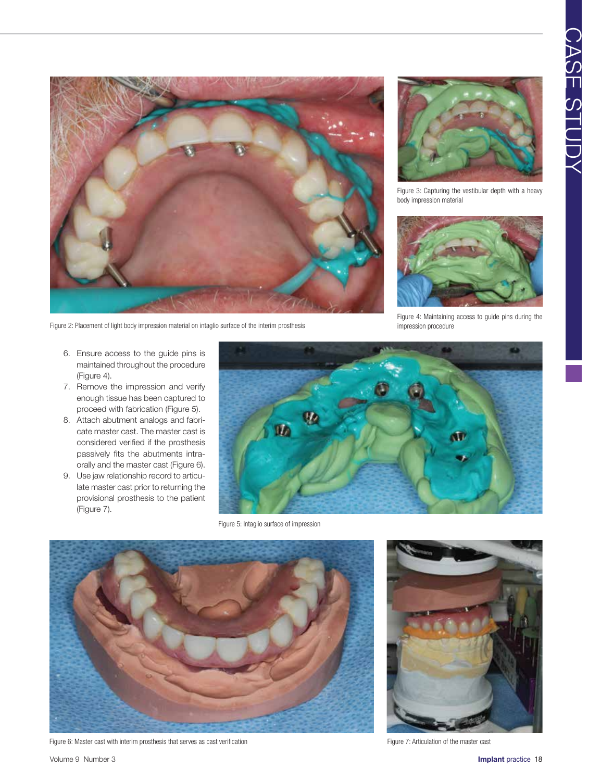

Figure 2: Placement of light body impression material on intaglio surface of the interim prosthesis

Figure 3: Capturing the vestibular depth with a heavy body impression material



Figure 4: Maintaining access to guide pins during the impression procedure

- 6. Ensure access to the guide pins is maintained throughout the procedure (Figure 4).
- 7. Remove the impression and verify enough tissue has been captured to proceed with fabrication (Figure 5).
- 8. Attach abutment analogs and fabricate master cast. The master cast is considered verified if the prosthesis passively fits the abutments intraorally and the master cast (Figure 6).
- 9. Use jaw relationship record to articulate master cast prior to returning the provisional prosthesis to the patient (Figure 7).



Figure 5: Intaglio surface of impression



Figure 6: Master cast with interim prosthesis that serves as cast verification Figure 7: Articulation of the master cast